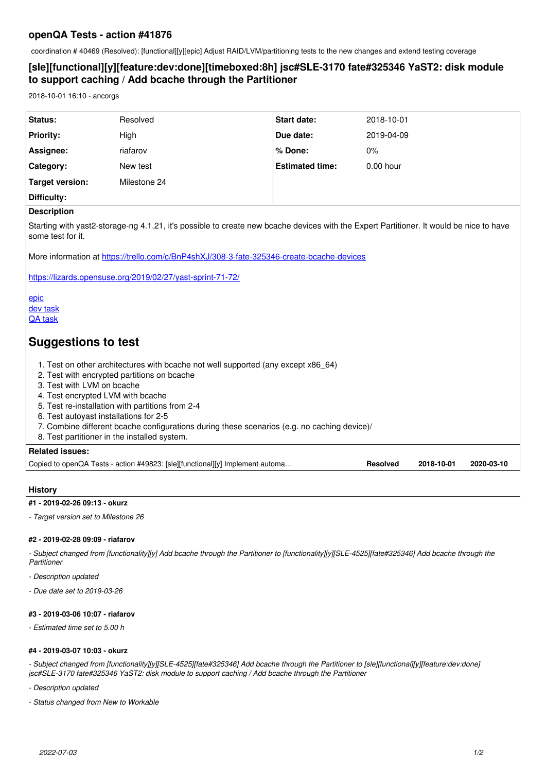# **openQA Tests - action #41876**

coordination # 40469 (Resolved): [functional][y][epic] Adjust RAID/LVM/partitioning tests to the new changes and extend testing coverage

# **[sle][functional][y][feature:dev:done][timeboxed:8h] jsc#SLE-3170 fate#325346 YaST2: disk module to support caching / Add bcache through the Partitioner**

2018-10-01 16:10 - ancorgs

| Status:                                                                                                                                                      | Resolved                                                                      | <b>Start date:</b>     | 2018-10-01                                  |
|--------------------------------------------------------------------------------------------------------------------------------------------------------------|-------------------------------------------------------------------------------|------------------------|---------------------------------------------|
| <b>Priority:</b>                                                                                                                                             | High                                                                          | Due date:              | 2019-04-09                                  |
| Assignee:                                                                                                                                                    | riafarov                                                                      | % Done:                | 0%                                          |
| Category:                                                                                                                                                    | New test                                                                      | <b>Estimated time:</b> | $0.00$ hour                                 |
| <b>Target version:</b>                                                                                                                                       | Milestone 24                                                                  |                        |                                             |
| Difficulty:                                                                                                                                                  |                                                                               |                        |                                             |
| <b>Description</b>                                                                                                                                           |                                                                               |                        |                                             |
| Starting with yast2-storage-ng 4.1.21, it's possible to create new bcache devices with the Expert Partitioner. It would be nice to have<br>some test for it. |                                                                               |                        |                                             |
| More information at https://trello.com/c/BnP4shXJ/308-3-fate-325346-create-bcache-devices                                                                    |                                                                               |                        |                                             |
| https://lizards.opensuse.org/2019/02/27/yast-sprint-71-72/                                                                                                   |                                                                               |                        |                                             |
| epic<br>dev task<br><b>QA</b> task                                                                                                                           |                                                                               |                        |                                             |
| <b>Suggestions to test</b>                                                                                                                                   |                                                                               |                        |                                             |
| 1. Test on other architectures with bcache not well supported (any except x86 64)<br>2. Test with encrypted partitions on bcache                             |                                                                               |                        |                                             |
| 3. Test with LVM on bcache                                                                                                                                   |                                                                               |                        |                                             |
| 4. Test encrypted LVM with bcache<br>5. Test re-installation with partitions from 2-4                                                                        |                                                                               |                        |                                             |
| 6. Test autoyast installations for 2-5                                                                                                                       |                                                                               |                        |                                             |
| 7. Combine different bcache configurations during these scenarios (e.g. no caching device)/<br>8. Test partitioner in the installed system.                  |                                                                               |                        |                                             |
| <b>Related issues:</b>                                                                                                                                       |                                                                               |                        |                                             |
|                                                                                                                                                              | Copied to openQA Tests - action #49823: [sle][functional][y] Implement automa |                        | <b>Resolved</b><br>2018-10-01<br>2020-03-10 |

# **History**

# **#1 - 2019-02-26 09:13 - okurz**

*- Target version set to Milestone 26*

# **#2 - 2019-02-28 09:09 - riafarov**

*- Subject changed from [functionality][y] Add bcache through the Partitioner to [functionality][y][SLE-4525][fate#325346] Add bcache through the Partitioner*

- *Description updated*
- *Due date set to 2019-03-26*

# **#3 - 2019-03-06 10:07 - riafarov**

*- Estimated time set to 5.00 h*

#### **#4 - 2019-03-07 10:03 - okurz**

*- Subject changed from [functionality][y][SLE-4525][fate#325346] Add bcache through the Partitioner to [sle][functional][y][feature:dev:done] jsc#SLE-3170 fate#325346 YaST2: disk module to support caching / Add bcache through the Partitioner*

- *Description updated*
- *Status changed from New to Workable*